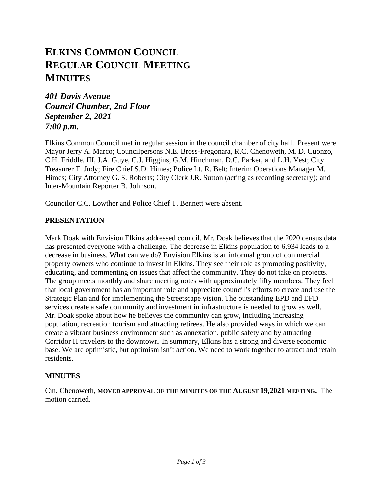# **ELKINS COMMON COUNCIL REGULAR COUNCIL MEETING MINUTES**

*401 Davis Avenue Council Chamber, 2nd Floor September 2, 2021 7:00 p.m.*

Elkins Common Council met in regular session in the council chamber of city hall. Present were Mayor Jerry A. Marco; Councilpersons N.E. Bross-Fregonara, R.C. Chenoweth, M. D. Cuonzo, C.H. Friddle, III, J.A. Guye, C.J. Higgins, G.M. Hinchman, D.C. Parker, and L.H. Vest; City Treasurer T. Judy; Fire Chief S.D. Himes; Police Lt. R. Belt; Interim Operations Manager M. Himes; City Attorney G. S. Roberts; City Clerk J.R. Sutton (acting as recording secretary); and Inter-Mountain Reporter B. Johnson.

Councilor C.C. Lowther and Police Chief T. Bennett were absent.

# **PRESENTATION**

Mark Doak with Envision Elkins addressed council. Mr. Doak believes that the 2020 census data has presented everyone with a challenge. The decrease in Elkins population to 6,934 leads to a decrease in business. What can we do? Envision Elkins is an informal group of commercial property owners who continue to invest in Elkins. They see their role as promoting positivity, educating, and commenting on issues that affect the community. They do not take on projects. The group meets monthly and share meeting notes with approximately fifty members. They feel that local government has an important role and appreciate council's efforts to create and use the Strategic Plan and for implementing the Streetscape vision. The outstanding EPD and EFD services create a safe community and investment in infrastructure is needed to grow as well. Mr. Doak spoke about how he believes the community can grow, including increasing population, recreation tourism and attracting retirees. He also provided ways in which we can create a vibrant business environment such as annexation, public safety and by attracting Corridor H travelers to the downtown. In summary, Elkins has a strong and diverse economic base. We are optimistic, but optimism isn't action. We need to work together to attract and retain residents.

# **MINUTES**

Cm. Chenoweth, **MOVED APPROVAL OF THE MINUTES OF THE AUGUST 19,2021 MEETING.** The motion carried.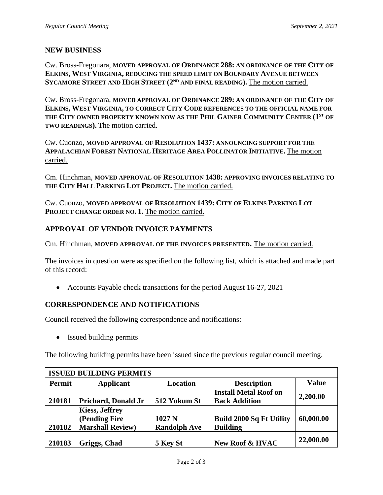# **NEW BUSINESS**

Cw. Bross-Fregonara, **MOVED APPROVAL OF ORDINANCE 288: AN ORDINANCE OF THE CITY OF ELKINS, WEST VIRGINIA, REDUCING THE SPEED LIMIT ON BOUNDARY AVENUE BETWEEN**  SYCAMORE STREET AND HIGH STREET (2<sup>ND</sup> AND FINAL READING). The motion carried.

Cw. Bross-Fregonara, **MOVED APPROVAL OF ORDINANCE 289: AN ORDINANCE OF THE CITY OF ELKINS, WEST VIRGINIA, TO CORRECT CITY CODE REFERENCES TO THE OFFICIAL NAME FOR THE CITY OWNED PROPERTY KNOWN NOW AS THE PHIL GAINER COMMUNITY CENTER (1ST OF TWO READINGS).** The motion carried.

Cw. Cuonzo, **MOVED APPROVAL OF RESOLUTION 1437: ANNOUNCING SUPPORT FOR THE APPALACHIAN FOREST NATIONAL HERITAGE AREA POLLINATOR INITIATIVE.** The motion carried.

Cm. Hinchman, **MOVED APPROVAL OF RESOLUTION 1438: APPROVING INVOICES RELATING TO THE CITY HALL PARKING LOT PROJECT.** The motion carried.

Cw. Cuonzo, **MOVED APPROVAL OF RESOLUTION 1439: CITY OF ELKINS PARKING LOT PROJECT CHANGE ORDER NO. 1.** The motion carried.

# **APPROVAL OF VENDOR INVOICE PAYMENTS**

Cm. Hinchman, **MOVED APPROVAL OF THE INVOICES PRESENTED.** The motion carried.

The invoices in question were as specified on the following list, which is attached and made part of this record:

• Accounts Payable check transactions for the period August 16-27, 2021

# **CORRESPONDENCE AND NOTIFICATIONS**

Council received the following correspondence and notifications:

• Issued building permits

The following building permits have been issued since the previous regular council meeting.

| <b>ISSUED BUILDING PERMITS</b> |                         |                     |                                 |              |  |  |  |
|--------------------------------|-------------------------|---------------------|---------------------------------|--------------|--|--|--|
| Permit                         | <b>Applicant</b>        | <b>Location</b>     | <b>Description</b>              | <b>Value</b> |  |  |  |
|                                |                         |                     | <b>Install Metal Roof on</b>    | 2,200.00     |  |  |  |
| 210181                         | Prichard, Donald Jr     | 512 Yokum St        | <b>Back Addition</b>            |              |  |  |  |
|                                | <b>Kiess, Jeffrey</b>   |                     |                                 |              |  |  |  |
|                                | (Pending Fire           | 1027 <sub>N</sub>   | <b>Build 2000 Sq Ft Utility</b> | 60,000.00    |  |  |  |
| 210182                         | <b>Marshall Review)</b> | <b>Randolph Ave</b> | <b>Building</b>                 |              |  |  |  |
| 210183                         | Griggs, Chad            | 5 Key St            | <b>New Roof &amp; HVAC</b>      | 22,000.00    |  |  |  |